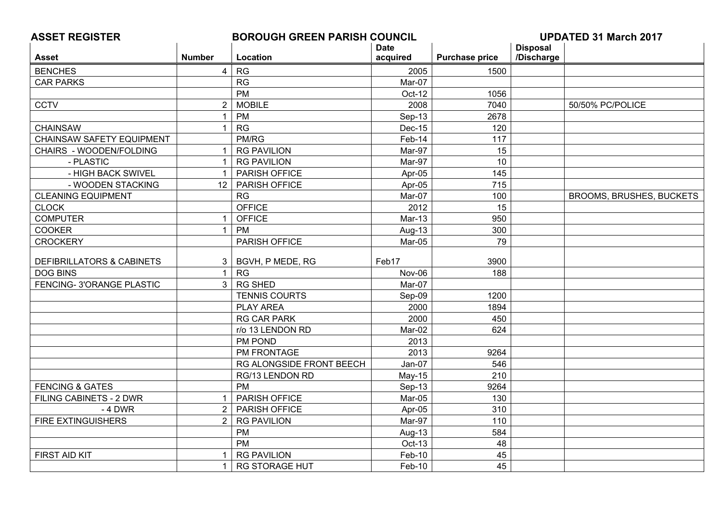| <b>ASSET REGISTER</b>            |                 | <b>BOROUGH GREEN PARISH COUNCIL</b> |             |                       | <b>UPDATED 31 March 2017</b> |                                 |
|----------------------------------|-----------------|-------------------------------------|-------------|-----------------------|------------------------------|---------------------------------|
|                                  |                 |                                     | <b>Date</b> |                       | <b>Disposal</b>              |                                 |
| <b>Asset</b>                     | <b>Number</b>   | Location                            | acquired    | <b>Purchase price</b> | /Discharge                   |                                 |
| <b>BENCHES</b>                   | $\overline{4}$  | RG                                  | 2005        | 1500                  |                              |                                 |
| <b>CAR PARKS</b>                 |                 | RG                                  | Mar-07      |                       |                              |                                 |
|                                  |                 | PM                                  | Oct-12      | 1056                  |                              |                                 |
| <b>CCTV</b>                      | $\overline{2}$  | <b>MOBILE</b>                       | 2008        | 7040                  |                              | 50/50% PC/POLICE                |
|                                  | $\overline{1}$  | PM                                  | $Sep-13$    | 2678                  |                              |                                 |
| <b>CHAINSAW</b>                  | $\mathbf{1}$    | RG                                  | Dec-15      | 120                   |                              |                                 |
| <b>CHAINSAW SAFETY EQUIPMENT</b> |                 | PM/RG                               | Feb-14      | 117                   |                              |                                 |
| CHAIRS - WOODEN/FOLDING          | $\overline{1}$  | <b>RG PAVILION</b>                  | Mar-97      | 15                    |                              |                                 |
| - PLASTIC                        | $\mathbf{1}$    | <b>RG PAVILION</b>                  | Mar-97      | 10                    |                              |                                 |
| - HIGH BACK SWIVEL               | $\overline{1}$  | PARISH OFFICE                       | Apr-05      | 145                   |                              |                                 |
| - WOODEN STACKING                | 12 <sup>°</sup> | PARISH OFFICE                       | Apr-05      | 715                   |                              |                                 |
| <b>CLEANING EQUIPMENT</b>        |                 | <b>RG</b>                           | Mar-07      | 100                   |                              | <b>BROOMS, BRUSHES, BUCKETS</b> |
| <b>CLOCK</b>                     |                 | <b>OFFICE</b>                       | 2012        | 15                    |                              |                                 |
| <b>COMPUTER</b>                  | -1              | <b>OFFICE</b>                       | Mar-13      | 950                   |                              |                                 |
| <b>COOKER</b>                    | $\overline{1}$  | PM                                  | Aug-13      | 300                   |                              |                                 |
| <b>CROCKERY</b>                  |                 | PARISH OFFICE                       | Mar-05      | 79                    |                              |                                 |
|                                  |                 |                                     |             |                       |                              |                                 |
| DEFIBRILLATORS & CABINETS        | 3               | BGVH, P MEDE, RG                    | Feb17       | 3900                  |                              |                                 |
| <b>DOG BINS</b>                  | $\mathbf{1}$    | RG                                  | Nov-06      | 188                   |                              |                                 |
| FENCING-3'ORANGE PLASTIC         | $\mathbf{3}$    | <b>RG SHED</b>                      | Mar-07      |                       |                              |                                 |
|                                  |                 | <b>TENNIS COURTS</b>                | Sep-09      | 1200                  |                              |                                 |
|                                  |                 | PLAY AREA                           | 2000        | 1894                  |                              |                                 |
|                                  |                 | <b>RG CAR PARK</b>                  | 2000        | 450                   |                              |                                 |
|                                  |                 | r/o 13 LENDON RD                    | Mar-02      | 624                   |                              |                                 |
|                                  |                 | PM POND                             | 2013        |                       |                              |                                 |
|                                  |                 | PM FRONTAGE                         | 2013        | 9264                  |                              |                                 |
|                                  |                 | RG ALONGSIDE FRONT BEECH            | Jan-07      | 546                   |                              |                                 |
|                                  |                 | RG/13 LENDON RD                     | $May-15$    | 210                   |                              |                                 |
| <b>FENCING &amp; GATES</b>       |                 | <b>PM</b>                           | Sep-13      | 9264                  |                              |                                 |
| FILING CABINETS - 2 DWR          | $\mathbf 1$     | PARISH OFFICE                       | Mar-05      | 130                   |                              |                                 |
| - 4 DWR                          | $\overline{2}$  | PARISH OFFICE                       | Apr-05      | 310                   |                              |                                 |
| <b>FIRE EXTINGUISHERS</b>        | 2               | <b>RG PAVILION</b>                  | Mar-97      | 110                   |                              |                                 |
|                                  |                 | PM                                  | Aug-13      | 584                   |                              |                                 |
|                                  |                 | <b>PM</b>                           | Oct-13      | 48                    |                              |                                 |
| FIRST AID KIT                    | $\mathbf{1}$    | <b>RG PAVILION</b>                  | Feb-10      | 45                    |                              |                                 |
|                                  | $\mathbf{1}$    | <b>RG STORAGE HUT</b>               | Feb-10      | 45                    |                              |                                 |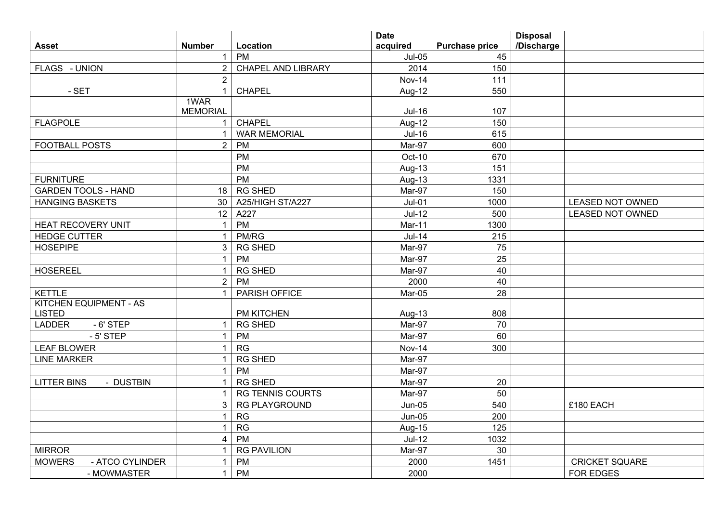|                                  |                         |                           | <b>Date</b>   |                       | <b>Disposal</b> |                         |
|----------------------------------|-------------------------|---------------------------|---------------|-----------------------|-----------------|-------------------------|
| <b>Asset</b>                     | <b>Number</b>           | Location                  | acquired      | <b>Purchase price</b> | /Discharge      |                         |
|                                  | $\mathbf{1}$            | PM                        | $Jul-05$      | 45                    |                 |                         |
| FLAGS - UNION                    | 2                       | <b>CHAPEL AND LIBRARY</b> | 2014          | 150                   |                 |                         |
|                                  | $\overline{2}$          |                           | <b>Nov-14</b> | 111                   |                 |                         |
| - SET                            | $\overline{1}$          | <b>CHAPEL</b>             | Aug-12        | 550                   |                 |                         |
|                                  | 1WAR                    |                           |               |                       |                 |                         |
|                                  | <b>MEMORIAL</b>         |                           | <b>Jul-16</b> | 107                   |                 |                         |
| <b>FLAGPOLE</b>                  | $\overline{1}$          | <b>CHAPEL</b>             | Aug-12        | 150                   |                 |                         |
|                                  | $\mathbf 1$             | <b>WAR MEMORIAL</b>       | <b>Jul-16</b> | 615                   |                 |                         |
| <b>FOOTBALL POSTS</b>            | $\overline{2}$          | PM                        | Mar-97        | 600                   |                 |                         |
|                                  |                         | <b>PM</b>                 | Oct-10        | 670                   |                 |                         |
|                                  |                         | <b>PM</b>                 | Aug-13        | 151                   |                 |                         |
| <b>FURNITURE</b>                 |                         | <b>PM</b>                 | Aug-13        | 1331                  |                 |                         |
| <b>GARDEN TOOLS - HAND</b>       | 18                      | <b>RG SHED</b>            | Mar-97        | 150                   |                 |                         |
| <b>HANGING BASKETS</b>           | 30                      | A25/HIGH ST/A227          | $Jul-01$      | 1000                  |                 | <b>LEASED NOT OWNED</b> |
|                                  | 12                      | A227                      | $Jul-12$      | 500                   |                 | <b>LEASED NOT OWNED</b> |
| <b>HEAT RECOVERY UNIT</b>        | $\mathbf{1}$            | PM                        | <b>Mar-11</b> | 1300                  |                 |                         |
| <b>HEDGE CUTTER</b>              | $\mathbf 1$             | PM/RG                     | $Jul-14$      | 215                   |                 |                         |
| <b>HOSEPIPE</b>                  | $\mathbf{3}$            | <b>RG SHED</b>            | Mar-97        | 75                    |                 |                         |
|                                  | $\mathbf{1}$            | PM                        | Mar-97        | 25                    |                 |                         |
| <b>HOSEREEL</b>                  | $\overline{1}$          | <b>RG SHED</b>            | Mar-97        | 40                    |                 |                         |
|                                  | $\overline{2}$          | PM                        | 2000          | 40                    |                 |                         |
| <b>KETTLE</b>                    | $\overline{1}$          | PARISH OFFICE             | Mar-05        | 28                    |                 |                         |
| <b>KITCHEN EQUIPMENT - AS</b>    |                         |                           |               |                       |                 |                         |
| <b>LISTED</b>                    |                         | PM KITCHEN                | Aug-13        | 808                   |                 |                         |
| <b>LADDER</b><br>$-6'$ STEP      | $\overline{1}$          | <b>RG SHED</b>            | Mar-97        | 70                    |                 |                         |
| $-5'$ STEP                       | $\overline{1}$          | PM                        | Mar-97        | 60                    |                 |                         |
| <b>LEAF BLOWER</b>               | $\overline{1}$          | RG                        | <b>Nov-14</b> | 300                   |                 |                         |
| <b>LINE MARKER</b>               | $\mathbf{1}$            | <b>RG SHED</b>            | Mar-97        |                       |                 |                         |
|                                  | $\overline{1}$          | PM                        | Mar-97        |                       |                 |                         |
| <b>LITTER BINS</b><br>- DUSTBIN  | $\overline{1}$          | <b>RG SHED</b>            | Mar-97        | 20                    |                 |                         |
|                                  | $\overline{1}$          | <b>RG TENNIS COURTS</b>   | Mar-97        | 50                    |                 |                         |
|                                  | 3                       | <b>RG PLAYGROUND</b>      | <b>Jun-05</b> | 540                   |                 | £180 EACH               |
|                                  | $\mathbf{1}$            | RG                        | <b>Jun-05</b> | 200                   |                 |                         |
|                                  | -1                      | RG                        | Aug-15        | 125                   |                 |                         |
|                                  | $\overline{4}$          | PM                        | $Jul-12$      | 1032                  |                 |                         |
| <b>MIRROR</b>                    | $\overline{\mathbf{1}}$ | <b>RG PAVILION</b>        | Mar-97        | 30                    |                 |                         |
| <b>MOWERS</b><br>- ATCO CYLINDER | $\mathbf{1}$            | PM                        | 2000          | 1451                  |                 | <b>CRICKET SQUARE</b>   |
| - MOWMASTER                      | $\mathbf{1}$            | PM                        | 2000          |                       |                 | FOR EDGES               |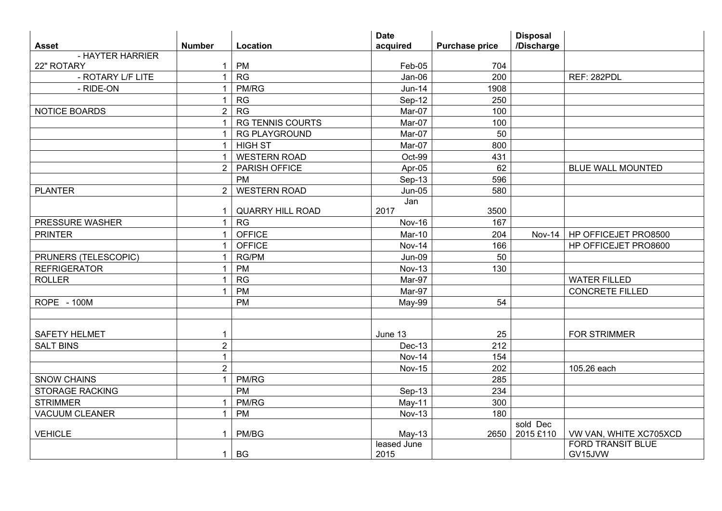| <b>Asset</b>           | <b>Number</b>  | Location                | <b>Date</b>         |                       | <b>Disposal</b><br>/Discharge |                                     |
|------------------------|----------------|-------------------------|---------------------|-----------------------|-------------------------------|-------------------------------------|
| - HAYTER HARRIER       |                |                         | acquired            | <b>Purchase price</b> |                               |                                     |
| 22" ROTARY             | $\mathbf{1}$   | PM                      | Feb-05              | 704                   |                               |                                     |
| - ROTARY L/F LITE      | 1              | RG                      | Jan-06              | 200                   |                               | REF: 282PDL                         |
| - RIDE-ON              | $\overline{1}$ | PM/RG                   | <b>Jun-14</b>       | 1908                  |                               |                                     |
|                        | $\mathbf{1}$   | RG                      | Sep-12              | 250                   |                               |                                     |
| NOTICE BOARDS          | $\overline{2}$ | RG                      | Mar-07              | 100                   |                               |                                     |
|                        | $\overline{1}$ | <b>RG TENNIS COURTS</b> | Mar-07              | 100                   |                               |                                     |
|                        | $\mathbf 1$    | <b>RG PLAYGROUND</b>    | Mar-07              | 50                    |                               |                                     |
|                        | $\mathbf 1$    | <b>HIGH ST</b>          | Mar-07              | 800                   |                               |                                     |
|                        | $\overline{1}$ | <b>WESTERN ROAD</b>     | Oct-99              | 431                   |                               |                                     |
|                        | $2^{\circ}$    | PARISH OFFICE           | Apr-05              | 62                    |                               | <b>BLUE WALL MOUNTED</b>            |
|                        |                | PM                      | Sep-13              | 596                   |                               |                                     |
| <b>PLANTER</b>         | $\overline{2}$ | <b>WESTERN ROAD</b>     | $Jun-05$            | 580                   |                               |                                     |
|                        | 1              | <b>QUARRY HILL ROAD</b> | Jan<br>2017         | 3500                  |                               |                                     |
| PRESSURE WASHER        | $\mathbf{1}$   | <b>RG</b>               | <b>Nov-16</b>       | 167                   |                               |                                     |
| <b>PRINTER</b>         | $\mathbf 1$    | <b>OFFICE</b>           | Mar-10              | 204                   | Nov-14                        | HP OFFICEJET PRO8500                |
|                        | $\mathbf 1$    | <b>OFFICE</b>           | <b>Nov-14</b>       | 166                   |                               | HP OFFICEJET PRO8600                |
| PRUNERS (TELESCOPIC)   | $\mathbf{1}$   | <b>RG/PM</b>            | Jun-09              | 50                    |                               |                                     |
| <b>REFRIGERATOR</b>    | $\mathbf 1$    | <b>PM</b>               | <b>Nov-13</b>       | 130                   |                               |                                     |
| <b>ROLLER</b>          | $\mathbf 1$    | RG                      | Mar-97              |                       |                               | <b>WATER FILLED</b>                 |
|                        | 1              | <b>PM</b>               | Mar-97              |                       |                               | <b>CONCRETE FILLED</b>              |
| <b>ROPE - 100M</b>     |                | <b>PM</b>               | May-99              | 54                    |                               |                                     |
|                        |                |                         |                     |                       |                               |                                     |
| <b>SAFETY HELMET</b>   |                |                         | June 13             | 25                    |                               | <b>FOR STRIMMER</b>                 |
| <b>SALT BINS</b>       | $\overline{2}$ |                         | $Dec-13$            | 212                   |                               |                                     |
|                        | 1              |                         | <b>Nov-14</b>       | 154                   |                               |                                     |
|                        | $\overline{2}$ |                         | <b>Nov-15</b>       | 202                   |                               | 105.26 each                         |
| <b>SNOW CHAINS</b>     | $\overline{1}$ | PM/RG                   |                     | 285                   |                               |                                     |
| <b>STORAGE RACKING</b> |                | <b>PM</b>               | Sep-13              | 234                   |                               |                                     |
| <b>STRIMMER</b>        | $\overline{1}$ | PM/RG                   | May-11              | 300                   |                               |                                     |
| <b>VACUUM CLEANER</b>  | $\mathbf 1$    | <b>PM</b>               | <b>Nov-13</b>       | 180                   |                               |                                     |
|                        |                |                         |                     |                       | sold Dec                      |                                     |
| <b>VEHICLE</b>         | 1              | PM/BG                   | $May-13$            | 2650                  | 2015 £110                     | VW VAN, WHITE XC705XCD              |
|                        | 1              | <b>BG</b>               | leased June<br>2015 |                       |                               | <b>FORD TRANSIT BLUE</b><br>GV15JVW |